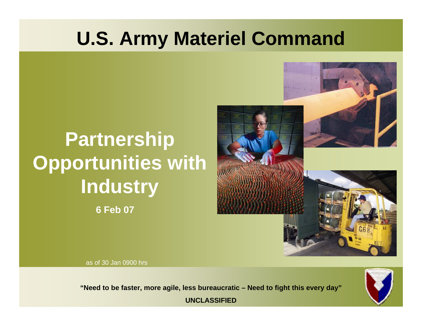### **U.S. Army Materiel Command**

### **6 Feb 07 Partnership Opportunities with Industry**



as of 30 Jan 0900 hrs

**1 1 1 1 1 1 1 1 1** 

**"Need to be faster, more agile, less bureaucratic – Need to fight this every day" "Need to be faster, more agile, less bureaucratic – Need to fight this every day"UNCLASSIFIED**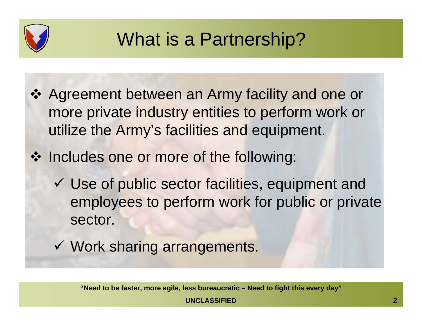

### What is a Partnership?

- ❖ Agreement between an Army facility and one or more private industry entities to perform work or utilize the Army's facilities and equipment.
- ❖ Includes one or more of the following:
	- $\checkmark$  Use of public sector facilities, equipment and employees to perform work for public or private sector.
	- $\checkmark$  Work sharing arrangements.

**"Need to be faster, more agile, less bureaucratic – Need to fight this every day"**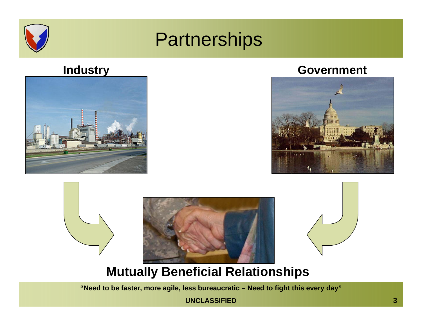

### **Partnerships**



### **Industry Government**









### **Mutually Beneficial Relationships**

**"Need to be faster, more agile, less bureaucratic – Need to fight this every day"**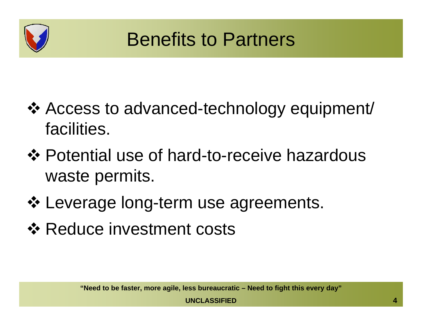

- Access to advanced-technology equipment/ facilities.
- **\*** Potential use of hard-to-receive hazardous waste permits.
- ❖ Leverage long-term use agreements.
- **❖ Reduce investment costs**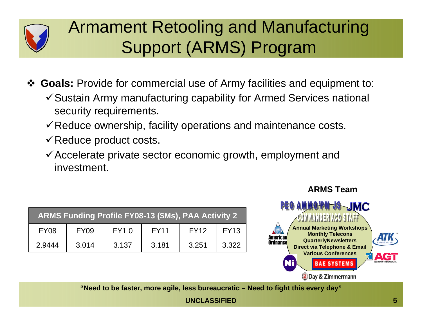

### Armament Retooling and Manufacturing Support (ARMS) Program

**Goals:** Provide for commercial use of Army facilities and equipment to:

- $\checkmark$  Sustain Army manufacturing capability for Armed Services national security requirements.
- $\checkmark$  Reduce ownership, facility operations and maintenance costs.
- $\checkmark$  Reduce product costs.
- $\checkmark$  Accelerate private sector economic growth, employment and investment.

| <b>ARMS Funding Profile FY08-13 (\$Ms), PAA Activity 2</b> |             |             |             |             |             |  |  |  |
|------------------------------------------------------------|-------------|-------------|-------------|-------------|-------------|--|--|--|
| <b>FY08</b>                                                | <b>FY09</b> | <b>FY10</b> | <b>FY11</b> | <b>FY12</b> | <b>FY13</b> |  |  |  |
| 2.9444                                                     | 3.014       | 3.137       | 3.181       | 3.251       | 3.322       |  |  |  |



**"Need to be faster, more agile, less bureaucratic – Need to fight this every day"**

**UNCLASSIFIED5**

### **ARMS Team**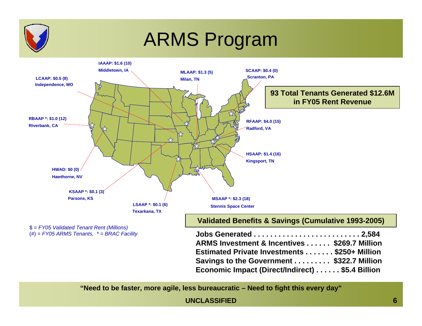

### ARMS Program



**"Need to be faster, more agile, less bureaucratic – Need to fight this every day"**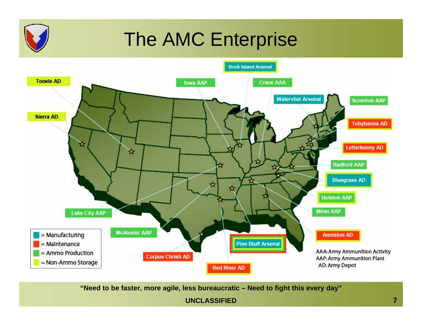

### The AMC Enterprise



**"Need to be faster, more agile, less bureaucratic – Need to fight this every day"**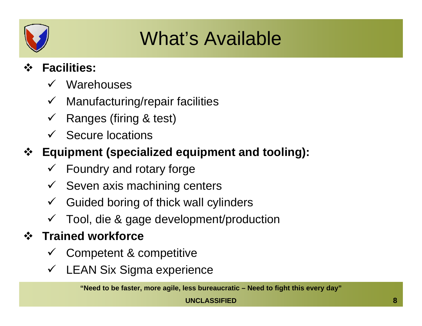

## What's Available

#### $\ddot{\cdot}$ **Facilities:**

- $V$  Warehouses
- $\checkmark$  Manufacturing/repair facilities
- $\checkmark$  Ranges (firing & test)
- $\checkmark$  Secure locations
- **Equipment (specialized equipment and tooling):**
	- $\checkmark$  Foundry and rotary forge
	- $\checkmark$  Seven axis machining centers
	- $\checkmark$  Guided boring of thick wall cylinders
	- $\checkmark$  Tool, die & gage development/production

### **Trained workforce**

- $\checkmark$ Competent & competitive
- $\checkmark$ LEAN Six Sigma experience

**"Need to be faster, more agile, less bureaucratic – Need to fight this every day"**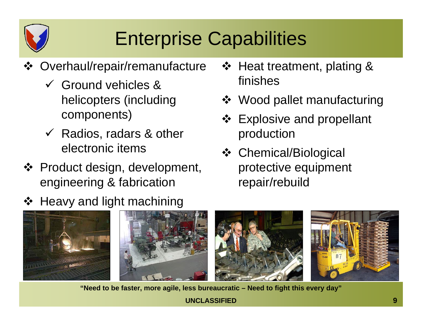

## Enterprise Capabilities

- Overhaul/repair/remanufacture
	- $\checkmark$  Ground vehicles & helicopters (including components)
	- $\checkmark$  Radios, radars & other electronic items
- ❖ Product design, development, engineering & fabrication
- ❖ Heavy and light machining
- ❖ Heat treatment, plating & finishes
- Wood pallet manufacturing
- Explosive and propellant production
- Chemical/Biological protective equipment repair/rebuild



**"Need to be faster, more agile, less bureaucratic – Need to fight this every day"**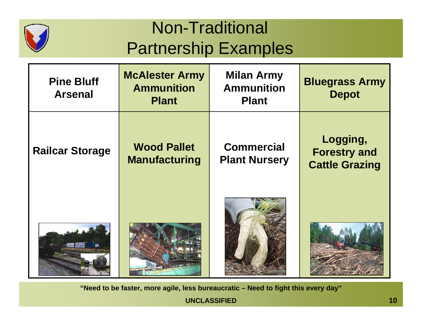

### Non-Traditional Partnership Examples

| <b>Pine Bluff</b><br><b>Arsenal</b> | <b>McAlester Army</b><br><b>Ammunition</b><br><b>Plant</b> | <b>Milan Army</b><br><b>Ammunition</b><br><b>Plant</b> | <b>Bluegrass Army</b><br><b>Depot</b>                    |
|-------------------------------------|------------------------------------------------------------|--------------------------------------------------------|----------------------------------------------------------|
| <b>Railcar Storage</b>              | <b>Wood Pallet</b><br><b>Manufacturing</b>                 | <b>Commercial</b><br><b>Plant Nursery</b>              | Logging,<br><b>Forestry and</b><br><b>Cattle Grazing</b> |
|                                     |                                                            |                                                        |                                                          |

**"Need to be faster, more agile, less bureaucratic – Need to fight this every day"**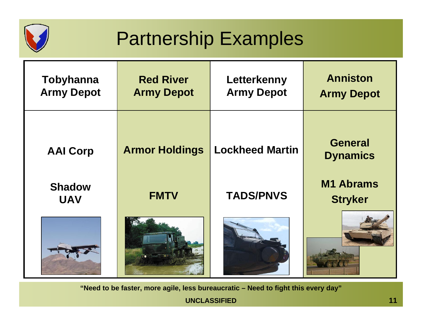

## Partnership Examples

| Tobyhanna<br><b>Army Depot</b> | <b>Red River</b><br><b>Army Depot</b> | Letterkenny<br><b>Army Depot</b> | <b>Anniston</b><br><b>Army Depot</b> |
|--------------------------------|---------------------------------------|----------------------------------|--------------------------------------|
| <b>AAI Corp</b>                | <b>Armor Holdings</b>                 | <b>Lockheed Martin</b>           | <b>General</b><br><b>Dynamics</b>    |
| <b>Shadow</b><br><b>UAV</b>    | <b>FMTV</b>                           | <b>TADS/PNVS</b>                 | <b>M1 Abrams</b><br><b>Stryker</b>   |
|                                |                                       |                                  |                                      |

**"Need to be faster, more agile, less bureaucratic – Need to fight this every day"**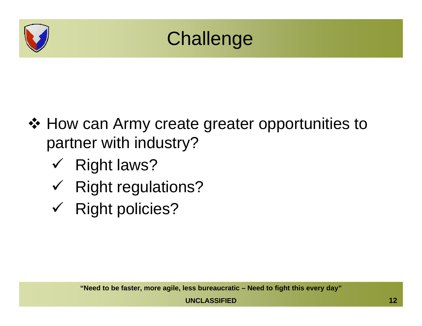

## **Challenge**

- ❖ How can Army create greater opportunities to partner with industry?
	- $\checkmark$  Right laws?
	- $\checkmark$  Right regulations?
	- $\checkmark$  Right policies?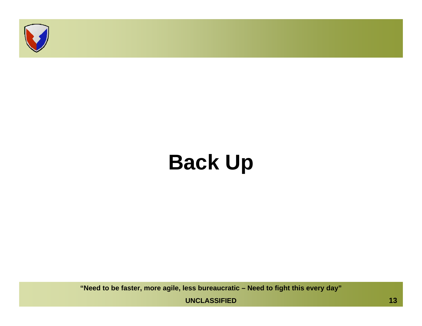

# **Back Up**

**"Need to be faster, more agile, less bureaucratic – Need to fight this every day"**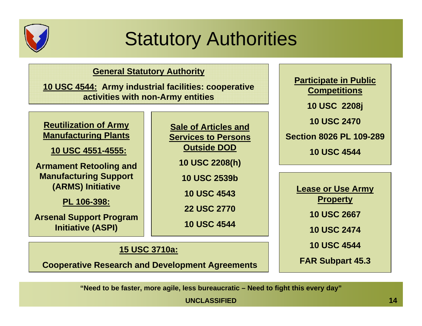

## Statutory Authorities

**Sale of Articles and Services to Persons** 

**Outside DOD**

**10 USC 2208(h)**

**10 USC 2539b**

**10 USC 4543**

**22 USC 2770**

**10 USC 4544**

#### **General Statutory Authority**

**10 USC 4544: Army industrial facilities: cooperative activities with non-Army entities**

**Reutilization of Army Manufacturing Plants**

**10 USC 4551-4555:**

**Armament Retooling and Manufacturing Support (ARMS) Initiative**

**PL 106-398:**

**Arsenal Support Program Initiative (ASPI)**

**15 USC 3710a:**

**Cooperative Research and Development Agreements**

**"Need to be faster, more agile, less bureaucratic – Need to fight this every day"**

**UNCLASSIFIED**

**Participate in Public Competitions 10 USC 2208j 10 USC 2470Section 8026 PL 109-28910 USC 4544**

> **Lease or Use Army Property**

> > **10 USC 2667**

**10 USC 2474**

**10 USC 4544**

**FAR Subpart 45.3**

**14**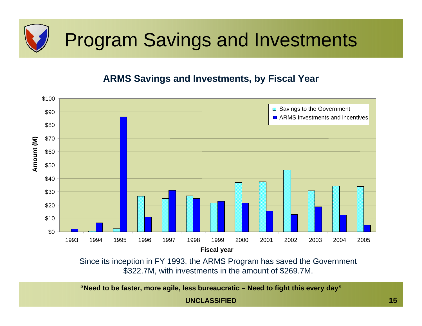

#### **ARMS Savings and Investments, by Fiscal Year**



Since its inception in FY 1993, the ARMS Program has saved the Government \$322.7M, with investments in the amount of \$269.7M.

**"Need to be faster, more agile, less bureaucratic – Need to fight this every day"**